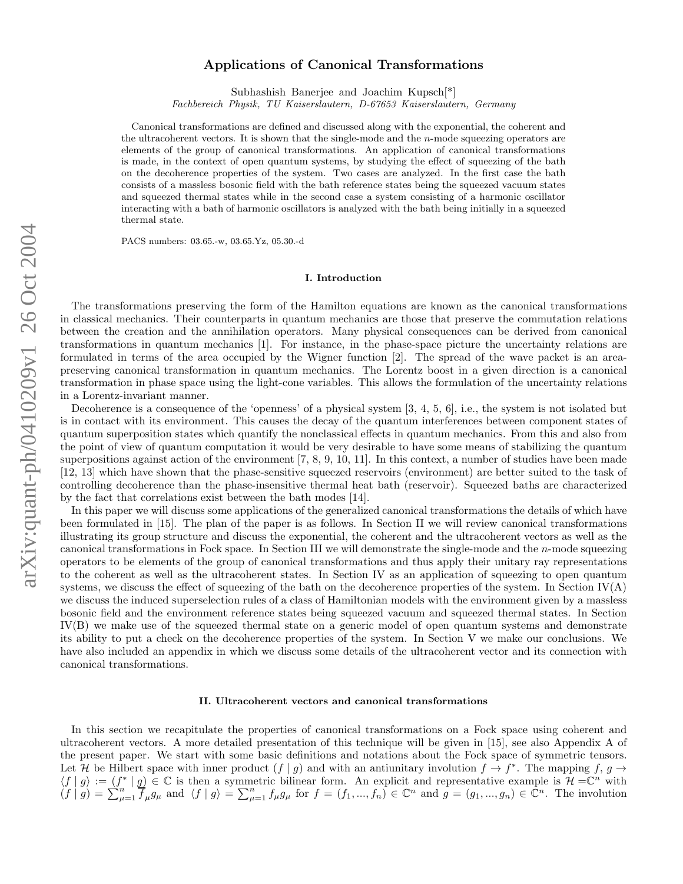# Applications of Canonical Transformations

Subhashish Banerjee and Joachim Kupsch[\*]

Fachbereich Physik, TU Kaiserslautern, D-67653 Kaiserslautern, Germany

Canonical transformations are defined and discussed along with the exponential, the coherent and the ultracoherent vectors. It is shown that the single-mode and the *n*-mode squeezing operators are elements of the group of canonical transformations. An application of canonical transformations is made, in the context of open quantum systems, by studying the effect of squeezing of the bath on the decoherence properties of the system. Two cases are analyzed. In the first case the bath consists of a massless bosonic field with the bath reference states being the squeezed vacuum states and squeezed thermal states while in the second case a system consisting of a harmonic oscillator interacting with a bath of harmonic oscillators is analyzed with the bath being initially in a squeezed thermal state.

PACS numbers: 03.65.-w, 03.65.Yz, 05.30.-d

### I. Introduction

The transformations preserving the form of the Hamilton equations are known as the canonical transformations in classical mechanics. Their counterparts in quantum mechanics are those that preserve the commutation relations between the creation and the annihilation operators. Many physical consequences can be derived from canonical transformations in quantum mechanics [1]. For instance, in the phase-space picture the uncertainty relations are formulated in terms of the area occupied by the Wigner function [2]. The spread of the wave packet is an areapreserving canonical transformation in quantum mechanics. The Lorentz boost in a given direction is a canonical transformation in phase space using the light-cone variables. This allows the formulation of the uncertainty relations in a Lorentz-invariant manner.

Decoherence is a consequence of the 'openness' of a physical system [3, 4, 5, 6], i.e., the system is not isolated but is in contact with its environment. This causes the decay of the quantum interferences between component states of quantum superposition states which quantify the nonclassical effects in quantum mechanics. From this and also from the point of view of quantum computation it would be very desirable to have some means of stabilizing the quantum superpositions against action of the environment  $[7, 8, 9, 10, 11]$ . In this context, a number of studies have been made [12, 13] which have shown that the phase-sensitive squeezed reservoirs (environment) are better suited to the task of controlling decoherence than the phase-insensitive thermal heat bath (reservoir). Squeezed baths are characterized by the fact that correlations exist between the bath modes [14].

In this paper we will discuss some applications of the generalized canonical transformations the details of which have been formulated in [15]. The plan of the paper is as follows. In Section II we will review canonical transformations illustrating its group structure and discuss the exponential, the coherent and the ultracoherent vectors as well as the canonical transformations in Fock space. In Section III we will demonstrate the single-mode and the *n*-mode squeezing operators to be elements of the group of canonical transformations and thus apply their unitary ray representations to the coherent as well as the ultracoherent states. In Section IV as an application of squeezing to open quantum systems, we discuss the effect of squeezing of the bath on the decoherence properties of the system. In Section  $IV(A)$ we discuss the induced superselection rules of a class of Hamiltonian models with the environment given by a massless bosonic field and the environment reference states being squeezed vacuum and squeezed thermal states. In Section IV(B) we make use of the squeezed thermal state on a generic model of open quantum systems and demonstrate its ability to put a check on the decoherence properties of the system. In Section V we make our conclusions. We have also included an appendix in which we discuss some details of the ultracoherent vector and its connection with canonical transformations.

#### II. Ultracoherent vectors and canonical transformations

In this section we recapitulate the properties of canonical transformations on a Fock space using coherent and ultracoherent vectors. A more detailed presentation of this technique will be given in [15], see also Appendix A of the present paper. We start with some basic definitions and notations about the Fock space of symmetric tensors. Let H be Hilbert space with inner product  $(f | g)$  and with an antiunitary involution  $f \to f^*$ . The mapping  $f, g \to f^*$ .  $\langle f | g \rangle := (f^* | g] \in \mathbb{C}$  is then a symmetric bilinear form. An explicit and representative example is  $\mathcal{H} = \mathbb{C}^n$  with  $(f | g) = \sum_{\mu=1}^{n} \overline{f}_{\mu} g_{\mu}$  and  $\langle f | g \rangle = \sum_{\mu=1}^{n} f_{\mu} g_{\mu}$  for  $f = (f_1, ..., f_n) \in \mathbb{C}^n$  and  $g = (g_1, ..., g_n) \in \mathbb{C}^n$ . The involution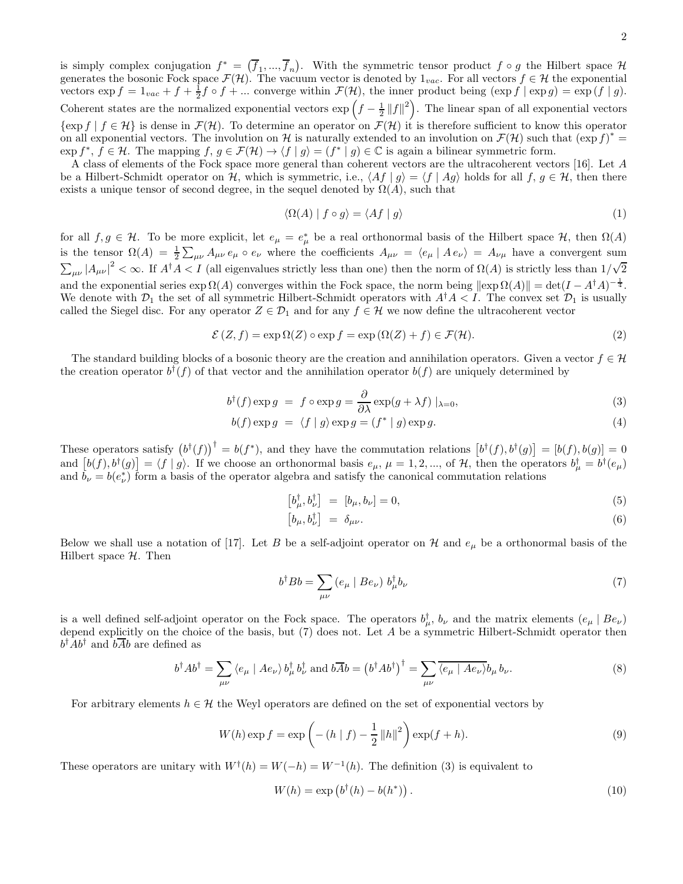is simply complex conjugation  $f^* = (\overline{f}_1, ..., \overline{f}_n)$ . With the symmetric tensor product  $f \circ g$  the Hilbert space  $\mathcal{H}$ generates the bosonic Fock space  $\mathcal{F}(\mathcal{H})$ . The vacuum vector is denoted by  $1_{vac}$ . For all vectors  $f \in \mathcal{H}$  the exponential vectors  $\exp f = 1_{vac} + f + \frac{1}{2}f \circ f + ...$  converge within  $\mathcal{F}(\mathcal{H})$ , the inner product being  $(\exp f | \exp g) = \exp(f | g)$ . Coherent states are the normalized exponential vectors  $\exp\left(f-\frac{1}{2}\|f\|^2\right)$ . The linear span of all exponential vectors  $\{\exp f \mid f \in \mathcal{H}\}\$ is dense in  $\mathcal{F}(\mathcal{H})$ . To determine an operator on  $\mathcal{F}(\mathcal{H})$  it is therefore sufficient to know this operator on all exponential vectors. The involution on H is naturally extended to an involution on  $\mathcal{F}(\mathcal{H})$  such that  $(\exp f)^*$  $\exp f^*, f \in \mathcal{H}$ . The mapping  $f, g \in \mathcal{F}(\mathcal{H}) \to \langle f | g \rangle = (f^* | g) \in \mathbb{C}$  is again a bilinear symmetric form.

A class of elements of the Fock space more general than coherent vectors are the ultracoherent vectors [16]. Let A be a Hilbert-Schmidt operator on H, which is symmetric, i.e.,  $\langle Af | g \rangle = \langle f | Ag \rangle$  holds for all  $f, g \in H$ , then there exists a unique tensor of second degree, in the sequel denoted by  $\Omega(A)$ , such that

$$
\langle \Omega(A) | f \circ g \rangle = \langle Af | g \rangle \tag{1}
$$

for all  $f, g \in \mathcal{H}$ . To be more explicit, let  $e_{\mu} = e_{\mu}^*$  be a real orthonormal basis of the Hilbert space  $\mathcal{H}$ , then  $\Omega(A)$ is the tensor  $\Omega(A) = \frac{1}{2} \sum_{\mu\nu} A_{\mu\nu} e_{\mu} \circ e_{\nu}$  where the coefficients  $A_{\mu\nu} = \langle e_{\mu} | A e_{\nu} \rangle = A_{\nu\mu}$  have a convergent sum  $\sum_{\mu\nu} |A_{\mu\nu}|^2 < \infty$ . If  $A^{\dagger} A < I$  (all eigenvalues strictly less than one) then the norm of  $\Omega(A)$  is strictly less than  $1/\sqrt{2}$ and the exponential series  $\exp \Omega(A)$  converges within the Fock space, the norm being  $\|\exp \Omega(A)\| = \det(I - A^{\dagger}A)^{-\frac{1}{4}}$ . We denote with  $\mathcal{D}_1$  the set of all symmetric Hilbert-Schmidt operators with  $A^{\dagger}A < I$ . The convex set  $\mathcal{D}_1$  is usually called the Siegel disc. For any operator  $Z \in \mathcal{D}_1$  and for any  $f \in \mathcal{H}$  we now define the ultracoherent vector

$$
\mathcal{E}(Z,f) = \exp \Omega(Z) \circ \exp f = \exp (\Omega(Z) + f) \in \mathcal{F}(\mathcal{H}).
$$
\n(2)

The standard building blocks of a bosonic theory are the creation and annihilation operators. Given a vector  $f \in \mathcal{H}$ the creation operator  $b^{\dagger}(f)$  of that vector and the annihilation operator  $b(f)$  are uniquely determined by

$$
b^{\dagger}(f) \exp g = f \circ \exp g = \frac{\partial}{\partial \lambda} \exp(g + \lambda f) \mid_{\lambda = 0}, \tag{3}
$$

$$
b(f) \exp g = \langle f | g \rangle \exp g = (f^* | g) \exp g. \tag{4}
$$

These operators satisfy  $(b^{\dagger}(f))^{\dagger} = b(f^*)$ , and they have the commutation relations  $[b^{\dagger}(f), b^{\dagger}(g)] = [b(f), b(g)] = 0$ and  $[b(f), b^{\dagger}(g)] = \langle f | g \rangle$ . If we choose an orthonormal basis  $e_{\mu}, \mu = 1, 2, ...,$  of H, then the operators  $b^{\dagger}_{\mu} = b^{\dagger}(e_{\mu})$ and  $\tilde{b}_{\nu} = b(e_{\nu}^{*})$  form a basis of the operator algebra and satisfy the canonical commutation relations

$$
\left[b^{\dagger}_{\mu}, b^{\dagger}_{\nu}\right] = \left[b_{\mu}, b_{\nu}\right] = 0,\tag{5}
$$

$$
\left[b_{\mu}, b_{\nu}^{\dagger}\right] = \delta_{\mu\nu}.\tag{6}
$$

Below we shall use a notation of [17]. Let B be a self-adjoint operator on H and  $e_\mu$  be a orthonormal basis of the Hilbert space  $H$ . Then

$$
b^{\dagger} B b = \sum_{\mu\nu} \left( e_{\mu} \mid B e_{\nu} \right) b_{\mu}^{\dagger} b_{\nu} \tag{7}
$$

is a well defined self-adjoint operator on the Fock space. The operators  $b^{\dagger}_{\mu}, b_{\nu}$  and the matrix elements  $(e_{\mu} | Be_{\nu})$ depend explicitly on the choice of the basis, but (7) does not. Let A be a symmetric Hilbert-Schmidt operator then  $b^{\dagger}Ab^{\dagger}$  and  $b\overline{Ab}$  are defined as

$$
b^{\dagger}Ab^{\dagger} = \sum_{\mu\nu} \langle e_{\mu} \mid Ae_{\nu} \rangle b_{\mu}^{\dagger} b_{\nu}^{\dagger} \text{ and } b\overline{A}b = \left(b^{\dagger}Ab^{\dagger}\right)^{\dagger} = \sum_{\mu\nu} \overline{\langle e_{\mu} \mid Ae_{\nu} \rangle} b_{\mu} b_{\nu}.
$$
 (8)

For arbitrary elements  $h \in \mathcal{H}$  the Weyl operators are defined on the set of exponential vectors by

$$
W(h) \exp f = \exp \left(-\left(h \mid f\right) - \frac{1}{2} \left\|h\right\|^2\right) \exp(f+h).
$$
\n(9)

These operators are unitary with  $W^{\dagger}(h) = W(-h) = W^{-1}(h)$ . The definition (3) is equivalent to

$$
W(h) = \exp\left(b^{\dagger}(h) - b(h^*)\right). \tag{10}
$$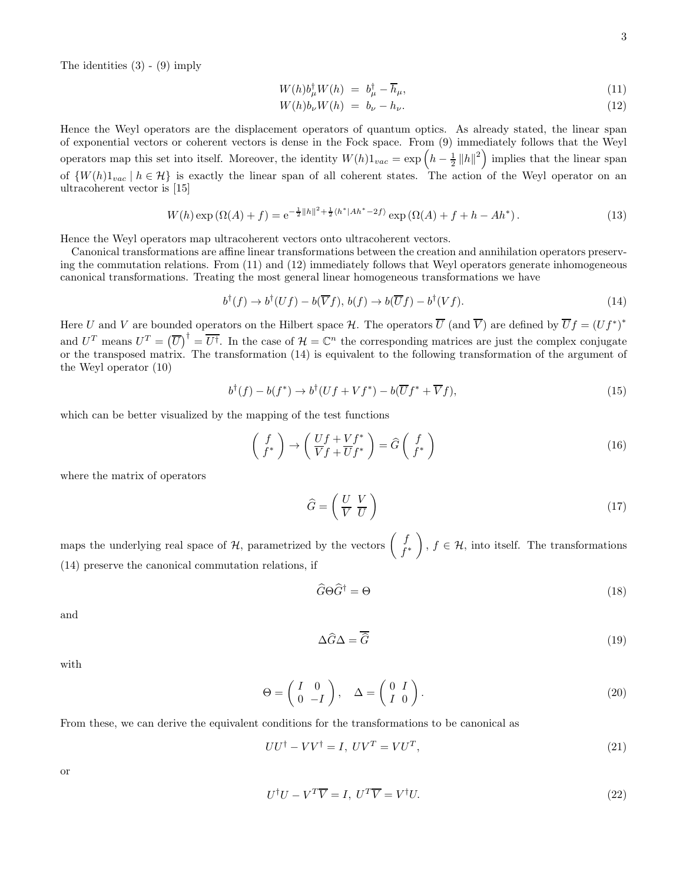The identities (3) - (9) imply

$$
W(h)b^{\dagger}_{\mu}W(h) = b^{\dagger}_{\mu} - \overline{h}_{\mu}, \tag{11}
$$

$$
W(h)b_{\nu}W(h) = b_{\nu} - h_{\nu}.
$$
\n
$$
(12)
$$

Hence the Weyl operators are the displacement operators of quantum optics. As already stated, the linear span of exponential vectors or coherent vectors is dense in the Fock space. From (9) immediately follows that the Weyl operators map this set into itself. Moreover, the identity  $W(h)1_{vac} = \exp\left(h - \frac{1}{2} ||h||^2\right)$  implies that the linear span of  $\{W(h)1_{vac} \mid h \in \mathcal{H}\}\$  is exactly the linear span of all coherent states. The action of the Weyl operator on an ultracoherent vector is [15]

$$
W(h) \exp\left(\Omega(A) + f\right) = e^{-\frac{1}{2}||h||^2 + \frac{1}{2}\langle h^*|Ah^* - 2f\rangle} \exp\left(\Omega(A) + f + h - Ah^*\right). \tag{13}
$$

Hence the Weyl operators map ultracoherent vectors onto ultracoherent vectors.

Canonical transformations are affine linear transformations between the creation and annihilation operators preserving the commutation relations. From (11) and (12) immediately follows that Weyl operators generate inhomogeneous canonical transformations. Treating the most general linear homogeneous transformations we have

$$
b^{\dagger}(f) \to b^{\dagger}(Uf) - b(\overline{V}f), \, b(f) \to b(\overline{U}f) - b^{\dagger}(Vf). \tag{14}
$$

Here U and V are bounded operators on the Hilbert space  $\mathcal{H}$ . The operators  $\overline{U}$  (and  $\overline{V}$ ) are defined by  $\overline{U}f = (Uf^*)^*$ and  $U^T$  means  $U^T = (\overline{U})^{\dagger} = \overline{U^{\dagger}}$ . In the case of  $\mathcal{H} = \mathbb{C}^n$  the corresponding matrices are just the complex conjugate or the transposed matrix. The transformation (14) is equivalent to the following transformation of the argument of the Weyl operator (10)

$$
b^{\dagger}(f) - b(f^*) \to b^{\dagger}(Uf + Vf^*) - b(\overline{U}f^* + \overline{V}f), \tag{15}
$$

which can be better visualized by the mapping of the test functions

$$
\begin{pmatrix} f \\ f^* \end{pmatrix} \rightarrow \begin{pmatrix} Uf + Vf^* \\ \overline{V}f + \overline{U}f^* \end{pmatrix} = \widehat{G} \begin{pmatrix} f \\ f^* \end{pmatrix}
$$
\n(16)

where the matrix of operators

$$
\widehat{G} = \left(\begin{array}{cc} U & V \\ \overline{V} & \overline{U} \end{array}\right) \tag{17}
$$

maps the underlying real space of  $\mathcal{H}$ , parametrized by the vectors  $\begin{pmatrix} f \\ f^{\text{max}}\end{pmatrix}$ f ∗  $\overline{\phantom{0}}$ ,  $f \in \mathcal{H}$ , into itself. The transformations (14) preserve the canonical commutation relations, if

$$
\widehat{G}\Theta\widehat{G}^{\dagger} = \Theta\tag{18}
$$

and

$$
\Delta \widehat{G} \Delta = \overline{\widehat{G}} \tag{19}
$$

with

$$
\Theta = \begin{pmatrix} I & 0 \\ 0 & -I \end{pmatrix}, \quad \Delta = \begin{pmatrix} 0 & I \\ I & 0 \end{pmatrix}.
$$
 (20)

From these, we can derive the equivalent conditions for the transformations to be canonical as

$$
UU^{\dagger} - VV^{\dagger} = I, \ UV^T = VU^T,
$$
\n<sup>(21)</sup>

or

$$
U^{\dagger}U - V^T \overline{V} = I, \ U^T \overline{V} = V^{\dagger}U.
$$
\n
$$
(22)
$$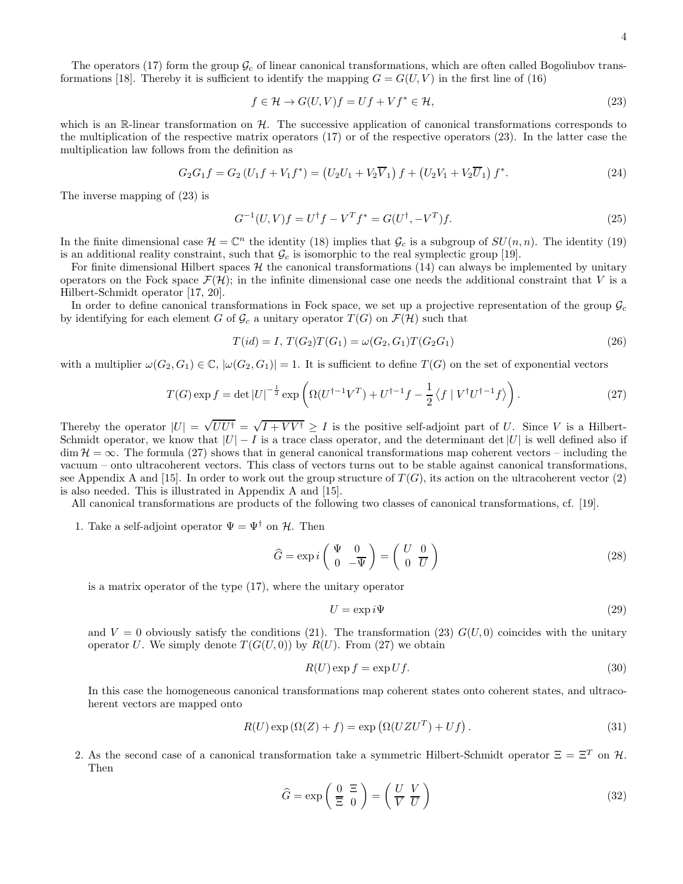The operators (17) form the group  $\mathcal{G}_c$  of linear canonical transformations, which are often called Bogoliubov transformations [18]. Thereby it is sufficient to identify the mapping  $G = G(U, V)$  in the first line of (16)

$$
f \in \mathcal{H} \to G(U, V)f = Uf + Vf^* \in \mathcal{H},\tag{23}
$$

which is an R-linear transformation on  $H$ . The successive application of canonical transformations corresponds to the multiplication of the respective matrix operators (17) or of the respective operators (23). In the latter case the multiplication law follows from the definition as

$$
G_2 G_1 f = G_2 (U_1 f + V_1 f^*) = (U_2 U_1 + V_2 \overline{V}_1) f + (U_2 V_1 + V_2 \overline{U}_1) f^*.
$$
\n(24)

The inverse mapping of (23) is

$$
G^{-1}(U,V)f = U^{\dagger}f - V^Tf^* = G(U^{\dagger}, -V^T)f.
$$
\n(25)

In the finite dimensional case  $\mathcal{H} = \mathbb{C}^n$  the identity (18) implies that  $\mathcal{G}_c$  is a subgroup of  $SU(n, n)$ . The identity (19) is an additional reality constraint, such that  $\mathcal{G}_c$  is isomorphic to the real symplectic group [19].

For finite dimensional Hilbert spaces  $H$  the canonical transformations (14) can always be implemented by unitary operators on the Fock space  $\mathcal{F}(\mathcal{H})$ ; in the infinite dimensional case one needs the additional constraint that V is a Hilbert-Schmidt operator [17, 20].

In order to define canonical transformations in Fock space, we set up a projective representation of the group  $\mathcal{G}_c$ by identifying for each element G of  $\mathcal{G}_c$  a unitary operator  $T(G)$  on  $\mathcal{F}(\mathcal{H})$  such that

$$
T(id) = I, T(G_2)T(G_1) = \omega(G_2, G_1)T(G_2G_1)
$$
\n(26)

with a multiplier  $\omega(G_2, G_1) \in \mathbb{C}$ ,  $|\omega(G_2, G_1)| = 1$ . It is sufficient to define  $T(G)$  on the set of exponential vectors

$$
T(G)\exp f = \det|U|^{-\frac{1}{2}}\exp\left(\Omega(U^{\dagger - 1}V^T) + U^{\dagger - 1}f - \frac{1}{2}\langle f | V^{\dagger}U^{\dagger - 1}f \rangle\right).
$$
 (27)

Thereby the operator  $|U| = \sqrt{UU^{\dagger}} = \sqrt{I + VV^{\dagger}} \ge I$  is the positive self-adjoint part of U. Since V is a Hilbert-Schmidt operator, we know that  $|U| - I$  is a trace class operator, and the determinant det  $|U|$  is well defined also if  $\dim \mathcal{H} = \infty$ . The formula (27) shows that in general canonical transformations map coherent vectors – including the vacuum – onto ultracoherent vectors. This class of vectors turns out to be stable against canonical transformations, see Appendix A and [15]. In order to work out the group structure of  $T(G)$ , its action on the ultracoherent vector (2) is also needed. This is illustrated in Appendix A and [15].

All canonical transformations are products of the following two classes of canonical transformations, cf. [19].

1. Take a self-adjoint operator  $\Psi = \Psi^{\dagger}$  on  $\mathcal{H}$ . Then

$$
\widehat{G} = \exp i \left( \begin{array}{cc} \Psi & 0 \\ 0 & -\overline{\Psi} \end{array} \right) = \left( \begin{array}{cc} U & 0 \\ 0 & \overline{U} \end{array} \right) \tag{28}
$$

is a matrix operator of the type (17), where the unitary operator

$$
U = \exp i\Psi \tag{29}
$$

and  $V = 0$  obviously satisfy the conditions (21). The transformation (23)  $G(U, 0)$  coincides with the unitary operator U. We simply denote  $T(G(U, 0))$  by  $R(U)$ . From (27) we obtain

$$
R(U)\exp f = \exp Uf.
$$
\n(30)

In this case the homogeneous canonical transformations map coherent states onto coherent states, and ultracoherent vectors are mapped onto

$$
R(U)\exp\left(\Omega(Z) + f\right) = \exp\left(\Omega(UZU^{T}) + Uf\right). \tag{31}
$$

2. As the second case of a canonical transformation take a symmetric Hilbert-Schmidt operator  $\Xi = \Xi^T$  on  $\mathcal{H}$ . Then

$$
\widehat{G} = \exp\left(\frac{0}{\Xi} \frac{\Xi}{0}\right) = \left(\frac{U}{V} \frac{V}{U}\right)
$$
\n(32)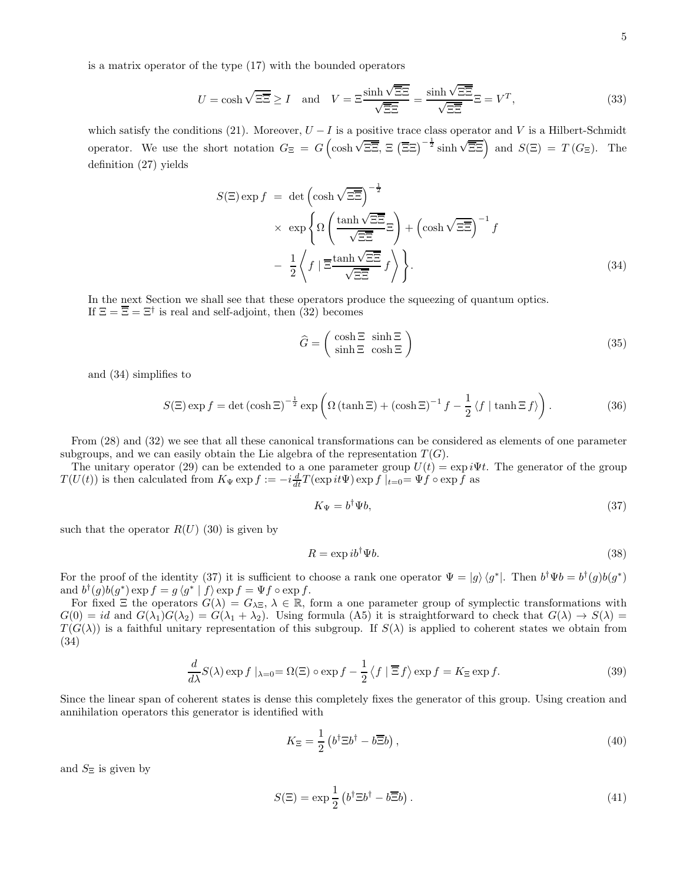is a matrix operator of the type (17) with the bounded operators

$$
U = \cosh\sqrt{\Xi} \ge I \quad \text{and} \quad V = \Xi \frac{\sinh\sqrt{\Xi} \Xi}{\sqrt{\Xi} \Xi} = \frac{\sinh\sqrt{\Xi} \Xi}{\sqrt{\Xi} \Xi} \Xi = V^T,\tag{33}
$$

which satisfy the conditions (21). Moreover,  $U - I$  is a positive trace class operator and V is a Hilbert-Schmidt operator. We use the short notation  $G_{\Xi} = G \left( \cosh \sqrt{\Xi \Xi}, \Xi \left( \overline{\Xi} \Xi \right)^{-\frac{1}{2}} \sinh \sqrt{\Xi \Xi} \right)$  and  $S(\Xi) = T(G_{\Xi})$ . The definition (27) yields

$$
S(\Xi) \exp f = \det \left( \cosh \sqrt{\Xi} \overline{\Xi} \right)^{-\frac{1}{2}} \times \exp \left\{ \Omega \left( \frac{\tanh \sqrt{\Xi} \overline{\Xi}}{\sqrt{\Xi} \overline{\Xi}} \Xi \right) + \left( \cosh \sqrt{\Xi} \overline{\Xi} \right)^{-1} f - \frac{1}{2} \left\langle f \mid \overline{\Xi} \frac{\tanh \sqrt{\Xi} \overline{\Xi}}{\sqrt{\Xi} \overline{\Xi}} f \right\rangle \right\}.
$$
\n(34)

In the next Section we shall see that these operators produce the squeezing of quantum optics. If  $\Xi = \overline{\Xi} = \Xi^{\dagger}$  is real and self-adjoint, then (32) becomes

$$
\widehat{G} = \begin{pmatrix} \cosh \Xi & \sinh \Xi \\ \sinh \Xi & \cosh \Xi \end{pmatrix}
$$
 (35)

and (34) simplifies to

$$
S(\Xi)\exp f = \det\left(\cosh \Xi\right)^{-\frac{1}{2}} \exp\left(\Omega\left(\tanh \Xi\right) + \left(\cosh \Xi\right)^{-1} f - \frac{1}{2} \left\langle f \mid \tanh \Xi f \right\rangle\right). \tag{36}
$$

From (28) and (32) we see that all these canonical transformations can be considered as elements of one parameter subgroups, and we can easily obtain the Lie algebra of the representation  $T(G)$ .

The unitary operator (29) can be extended to a one parameter group  $U(t) = \exp i\Psi t$ . The generator of the group  $T(U(t))$  is then calculated from  $K_{\Psi} \exp f := -i\frac{d}{dt}T(\exp it\Psi) \exp f\mid_{t=0} = \Psi f \circ \exp f$  as

$$
K_{\Psi} = b^{\dagger} \Psi b,\tag{37}
$$

such that the operator  $R(U)$  (30) is given by

$$
R = \exp ib^{\dagger} \Psi b. \tag{38}
$$

For the proof of the identity (37) it is sufficient to choose a rank one operator  $\Psi = |g\rangle \langle g^*|$ . Then  $b^{\dagger} \Psi b = b^{\dagger} (g) b (g^*)$ and  $b^{\dagger}(g)b(g^*) \exp f = g \langle g^* | f \rangle \exp f = \Psi f \circ \exp f.$ 

For fixed  $\Xi$  the operators  $G(\lambda) = G_{\lambda\Xi}$ ,  $\lambda \in \mathbb{R}$ , form a one parameter group of symplectic transformations with  $G(0) = id$  and  $G(\lambda_1)G(\lambda_2) = G(\lambda_1 + \lambda_2)$ . Using formula (A5) it is straightforward to check that  $G(\lambda) \to S(\lambda)$  $T(G(\lambda))$  is a faithful unitary representation of this subgroup. If  $S(\lambda)$  is applied to coherent states we obtain from (34)

$$
\frac{d}{d\lambda}S(\lambda)\exp f\mid_{\lambda=0}=\Omega(\Xi)\circ\exp f-\frac{1}{2}\left\langle f\mid \overline{\Xi}f\right\rangle\exp f=K_{\Xi}\exp f.
$$
\n(39)

Since the linear span of coherent states is dense this completely fixes the generator of this group. Using creation and annihilation operators this generator is identified with

$$
K_{\Xi} = \frac{1}{2} \left( b^{\dagger} \Xi b^{\dagger} - b \overline{\Xi} b \right),\tag{40}
$$

and  $S_{\Xi}$  is given by

$$
S(\Xi) = \exp\frac{1}{2} \left( b^{\dagger} \Xi b^{\dagger} - b \overline{\Xi} b \right). \tag{41}
$$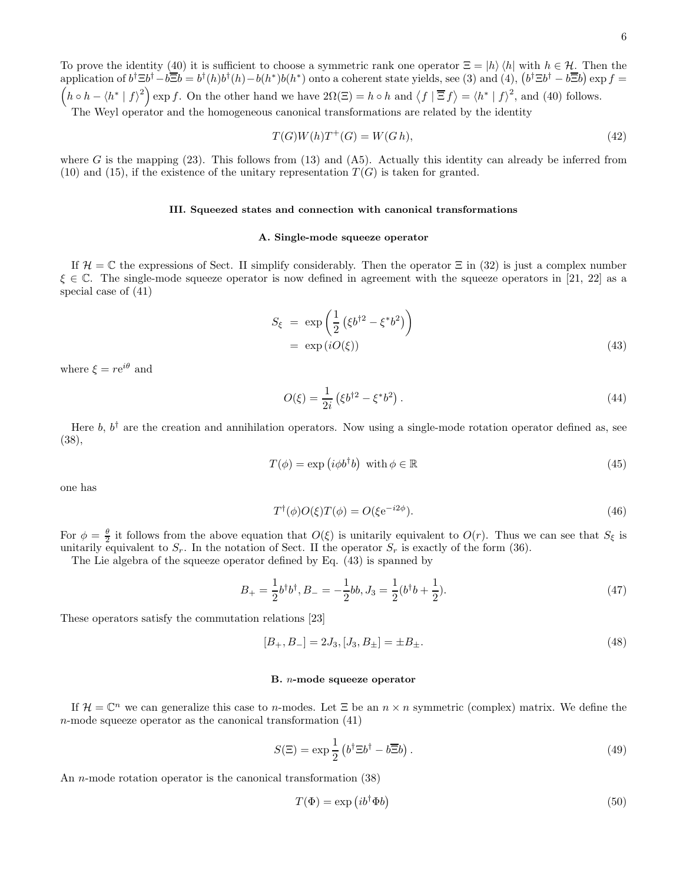To prove the identity (40) it is sufficient to choose a symmetric rank one operator  $\Xi = |h\rangle \langle h|$  with  $h \in \mathcal{H}$ . Then the application of  $b^{\dagger} \Xi b^{\dagger} - b \overline{\Xi} b = b^{\dagger} (h) b^{\dagger} (h) - b(h^*) b(h^*)$  onto a coherent state yields, see (3) and (4),  $(b^{\dagger} \Xi b^{\dagger} - b \overline{\Xi} b) \exp f =$  $(h \circ h - \langle h^* | f \rangle^2)$  exp f. On the other hand we have  $2\Omega(\Xi) = h \circ h$  and  $\langle f | \overline{\Xi} f \rangle = \langle h^* | f \rangle^2$ , and (40) follows.

The Weyl operator and the homogeneous canonical transformations are related by the identity

$$
T(G)W(h)T^+(G) = W(Gh),\tag{42}
$$

where G is the mapping  $(23)$ . This follows from  $(13)$  and  $(A5)$ . Actually this identity can already be inferred from (10) and (15), if the existence of the unitary representation  $T(G)$  is taken for granted.

## III. Squeezed states and connection with canonical transformations

# A. Single-mode squeeze operator

If  $\mathcal{H} = \mathbb{C}$  the expressions of Sect. II simplify considerably. Then the operator  $\Xi$  in (32) is just a complex number  $\xi \in \mathbb{C}$ . The single-mode squeeze operator is now defined in agreement with the squeeze operators in [21, 22] as a special case of (41)

$$
S_{\xi} = \exp\left(\frac{1}{2}\left(\xi b^{\dagger 2} - \xi^* b^2\right)\right)
$$
  
= \exp(iO(\xi)) (43)

where  $\xi = re^{i\theta}$  and

$$
O(\xi) = \frac{1}{2i} (\xi b^{\dagger 2} - \xi^* b^2).
$$
 (44)

Here  $b, b^{\dagger}$  are the creation and annihilation operators. Now using a single-mode rotation operator defined as, see (38),

$$
T(\phi) = \exp(i\phi b^{\dagger} b) \text{ with } \phi \in \mathbb{R}
$$
 (45)

one has

$$
T^{\dagger}(\phi)O(\xi)T(\phi) = O(\xi e^{-i2\phi}).\tag{46}
$$

For  $\phi = \frac{\theta}{2}$  it follows from the above equation that  $O(\xi)$  is unitarily equivalent to  $O(r)$ . Thus we can see that  $S_{\xi}$  is unitarily equivalent to  $S_r$ . In the notation of Sect. II the operator  $S_r$  is exactly of the form (36).

The Lie algebra of the squeeze operator defined by Eq. (43) is spanned by

$$
B_{+} = \frac{1}{2}b^{\dagger}b^{\dagger}, B_{-} = -\frac{1}{2}bb, J_{3} = \frac{1}{2}(b^{\dagger}b + \frac{1}{2}).
$$
\n(47)

These operators satisfy the commutation relations [23]

$$
[B_+, B_-] = 2J_3, [J_3, B_\pm] = \pm B_\pm.
$$
\n<sup>(48)</sup>

# B. n-mode squeeze operator

If  $\mathcal{H} = \mathbb{C}^n$  we can generalize this case to n-modes. Let  $\Xi$  be an  $n \times n$  symmetric (complex) matrix. We define the  $n$ -mode squeeze operator as the canonical transformation  $(41)$ 

$$
S(\Xi) = \exp\frac{1}{2} \left( b^{\dagger} \Xi b^{\dagger} - b \overline{\Xi} b \right). \tag{49}
$$

An n-mode rotation operator is the canonical transformation (38)

$$
T(\Phi) = \exp\left(ib^{\dagger}\Phi b\right) \tag{50}
$$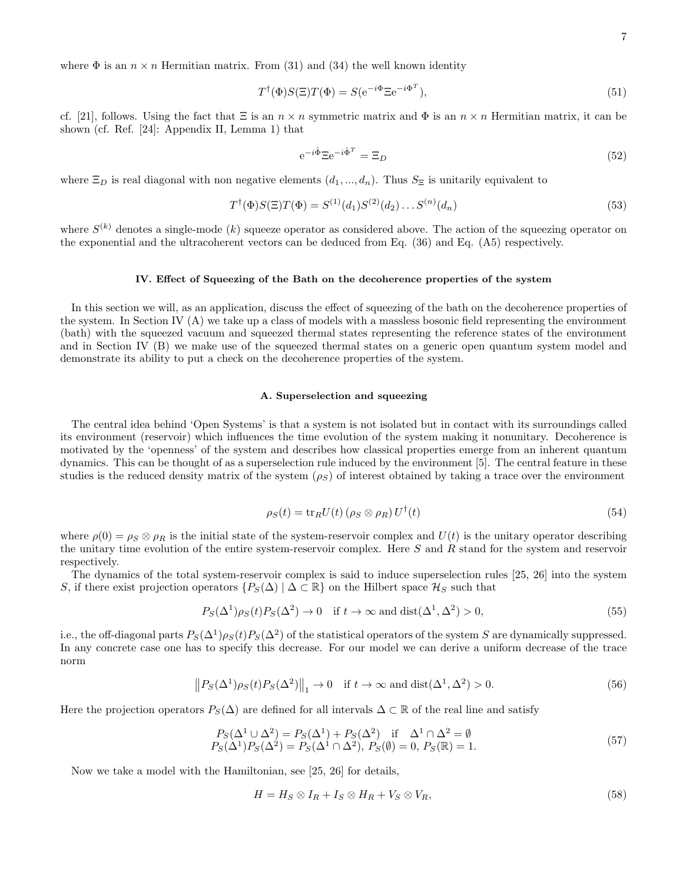where  $\Phi$  is an  $n \times n$  Hermitian matrix. From (31) and (34) the well known identity

$$
T^{\dagger}(\Phi)S(\Xi)T(\Phi) = S(e^{-i\Phi}\Xi e^{-i\Phi^T}),\tag{51}
$$

cf. [21], follows. Using the fact that  $\Xi$  is an  $n \times n$  symmetric matrix and  $\Phi$  is an  $n \times n$  Hermitian matrix, it can be shown (cf. Ref. [24]: Appendix II, Lemma 1) that

$$
e^{-i\hat{\Phi}} \Xi e^{-i\hat{\Phi}^T} = \Xi_D \tag{52}
$$

where  $\Xi_D$  is real diagonal with non negative elements  $(d_1, ..., d_n)$ . Thus  $S_{\Xi}$  is unitarily equivalent to

$$
T^{\dagger}(\Phi)S(\Xi)T(\Phi) = S^{(1)}(d_1)S^{(2)}(d_2)\dots S^{(n)}(d_n)
$$
\n(53)

where  $S^{(k)}$  denotes a single-mode  $(k)$  squeeze operator as considered above. The action of the squeezing operator on the exponential and the ultracoherent vectors can be deduced from Eq. (36) and Eq. (A5) respectively.

#### IV. Effect of Squeezing of the Bath on the decoherence properties of the system

In this section we will, as an application, discuss the effect of squeezing of the bath on the decoherence properties of the system. In Section IV (A) we take up a class of models with a massless bosonic field representing the environment (bath) with the squeezed vacuum and squeezed thermal states representing the reference states of the environment and in Section IV (B) we make use of the squeezed thermal states on a generic open quantum system model and demonstrate its ability to put a check on the decoherence properties of the system.

#### A. Superselection and squeezing

The central idea behind 'Open Systems' is that a system is not isolated but in contact with its surroundings called its environment (reservoir) which influences the time evolution of the system making it nonunitary. Decoherence is motivated by the 'openness' of the system and describes how classical properties emerge from an inherent quantum dynamics. This can be thought of as a superselection rule induced by the environment [5]. The central feature in these studies is the reduced density matrix of the system  $(\rho_S)$  of interest obtained by taking a trace over the environment

$$
\rho_S(t) = \text{tr}_R U(t) \left( \rho_S \otimes \rho_R \right) U^{\dagger}(t) \tag{54}
$$

where  $\rho(0) = \rho_S \otimes \rho_R$  is the initial state of the system-reservoir complex and  $U(t)$  is the unitary operator describing the unitary time evolution of the entire system-reservoir complex. Here  $S$  and  $R$  stand for the system and reservoir respectively.

The dynamics of the total system-reservoir complex is said to induce superselection rules [25, 26] into the system S, if there exist projection operators  $\{P_S(\Delta) | \Delta \subset \mathbb{R}\}$  on the Hilbert space  $\mathcal{H}_S$  such that

$$
P_S(\Delta^1)\rho_S(t)P_S(\Delta^2) \to 0 \quad \text{if } t \to \infty \text{ and } \text{dist}(\Delta^1, \Delta^2) > 0,
$$
\n
$$
(55)
$$

i.e., the off-diagonal parts  $P_S(\Delta^1)\rho_S(t)P_S(\Delta^2)$  of the statistical operators of the system S are dynamically suppressed. In any concrete case one has to specify this decrease. For our model we can derive a uniform decrease of the trace norm

$$
||P_S(\Delta^1)\rho_S(t)P_S(\Delta^2)||_1 \to 0 \quad \text{if } t \to \infty \text{ and } \text{dist}(\Delta^1, \Delta^2) > 0. \tag{56}
$$

Here the projection operators  $P_S(\Delta)$  are defined for all intervals  $\Delta \subset \mathbb{R}$  of the real line and satisfy

$$
P_S(\Delta^1 \cup \Delta^2) = P_S(\Delta^1) + P_S(\Delta^2) \text{ if } \Delta^1 \cap \Delta^2 = \emptyset P_S(\Delta^1)P_S(\Delta^2) = P_S(\Delta^1 \cap \Delta^2), P_S(\emptyset) = 0, P_S(\mathbb{R}) = 1.
$$
 (57)

Now we take a model with the Hamiltonian, see [25, 26] for details,

$$
H = H_S \otimes I_R + I_S \otimes H_R + V_S \otimes V_R, \tag{58}
$$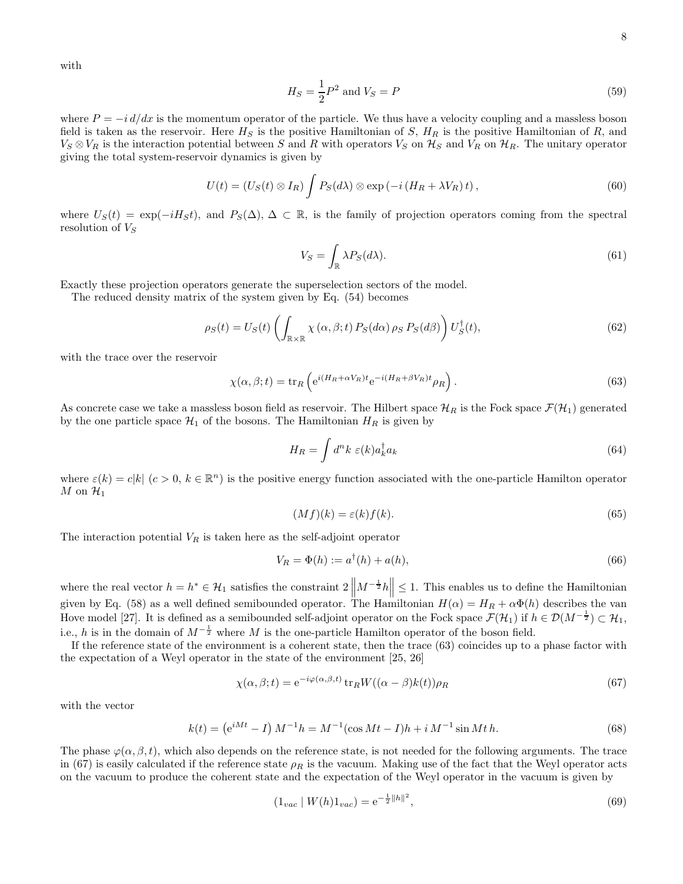with

$$
H_S = \frac{1}{2}P^2
$$
 and  $V_S = P$  (59)

where  $P = -i d/dx$  is the momentum operator of the particle. We thus have a velocity coupling and a massless boson field is taken as the reservoir. Here  $H_S$  is the positive Hamiltonian of S,  $H_R$  is the positive Hamiltonian of R, and  $V_S \otimes V_R$  is the interaction potential between S and R with operators  $V_S$  on  $\mathcal{H}_S$  and  $V_R$  on  $\mathcal{H}_R$ . The unitary operator giving the total system-reservoir dynamics is given by

$$
U(t) = (U_S(t) \otimes I_R) \int P_S(d\lambda) \otimes \exp(-i (H_R + \lambda V_R) t), \qquad (60)
$$

where  $U_S(t) = \exp(-iH_St)$ , and  $P_S(\Delta)$ ,  $\Delta \subset \mathbb{R}$ , is the family of projection operators coming from the spectral resolution of  $V_S$ 

$$
V_S = \int_{\mathbb{R}} \lambda P_S(d\lambda). \tag{61}
$$

Exactly these projection operators generate the superselection sectors of the model.

The reduced density matrix of the system given by Eq. (54) becomes

$$
\rho_S(t) = U_S(t) \left( \int_{\mathbb{R} \times \mathbb{R}} \chi(\alpha, \beta; t) P_S(d\alpha) \rho_S P_S(d\beta) \right) U_S^{\dagger}(t), \tag{62}
$$

with the trace over the reservoir

$$
\chi(\alpha, \beta; t) = \text{tr}_R \left( e^{i(H_R + \alpha V_R)t} e^{-i(H_R + \beta V_R)t} \rho_R \right).
$$
\n(63)

As concrete case we take a massless boson field as reservoir. The Hilbert space  $\mathcal{H}_R$  is the Fock space  $\mathcal{F}(\mathcal{H}_1)$  generated by the one particle space  $\mathcal{H}_1$  of the bosons. The Hamiltonian  $H_R$  is given by

$$
H_R = \int d^n k \ \varepsilon(k) a_k^\dagger a_k \tag{64}
$$

where  $\varepsilon(k) = c|k|$   $(c > 0, k \in \mathbb{R}^n)$  is the positive energy function associated with the one-particle Hamilton operator M on  $\mathcal{H}_1$ 

$$
(Mf)(k) = \varepsilon(k)f(k). \tag{65}
$$

The interaction potential  $V_R$  is taken here as the self-adjoint operator

$$
V_R = \Phi(h) := a^{\dagger}(h) + a(h),
$$
\n(66)

where the real vector  $h = h^* \in \mathcal{H}_1$  satisfies the constraint  $2 \left\| M^{-\frac{1}{2}} h \right\| \leq 1$ . This enables us to define the Hamiltonian given by Eq. (58) as a well defined semibounded operator. The Hamiltonian  $H(\alpha) = H_R + \alpha \Phi(h)$  describes the van Hove model [27]. It is defined as a semibounded self-adjoint operator on the Fock space  $\mathcal{F}(\mathcal{H}_1)$  if  $h \in \mathcal{D}(M^{-\frac{1}{2}}) \subset \mathcal{H}_1$ , i.e., h is in the domain of  $M^{-\frac{1}{2}}$  where M is the one-particle Hamilton operator of the boson field.

If the reference state of the environment is a coherent state, then the trace (63) coincides up to a phase factor with the expectation of a Weyl operator in the state of the environment [25, 26]

$$
\chi(\alpha, \beta; t) = e^{-i\varphi(\alpha, \beta, t)} \operatorname{tr}_R W((\alpha - \beta)k(t)) \rho_R \tag{67}
$$

with the vector

$$
k(t) = (e^{iMt} - I) M^{-1}h = M^{-1}(\cos Mt - I)h + i M^{-1}\sin Mt h.
$$
\n(68)

The phase  $\varphi(\alpha, \beta, t)$ , which also depends on the reference state, is not needed for the following arguments. The trace in (67) is easily calculated if the reference state  $\rho_R$  is the vacuum. Making use of the fact that the Weyl operator acts on the vacuum to produce the coherent state and the expectation of the Weyl operator in the vacuum is given by

$$
(1_{vac} \mid W(h)1_{vac}) = e^{-\frac{1}{2}||h||^2},\tag{69}
$$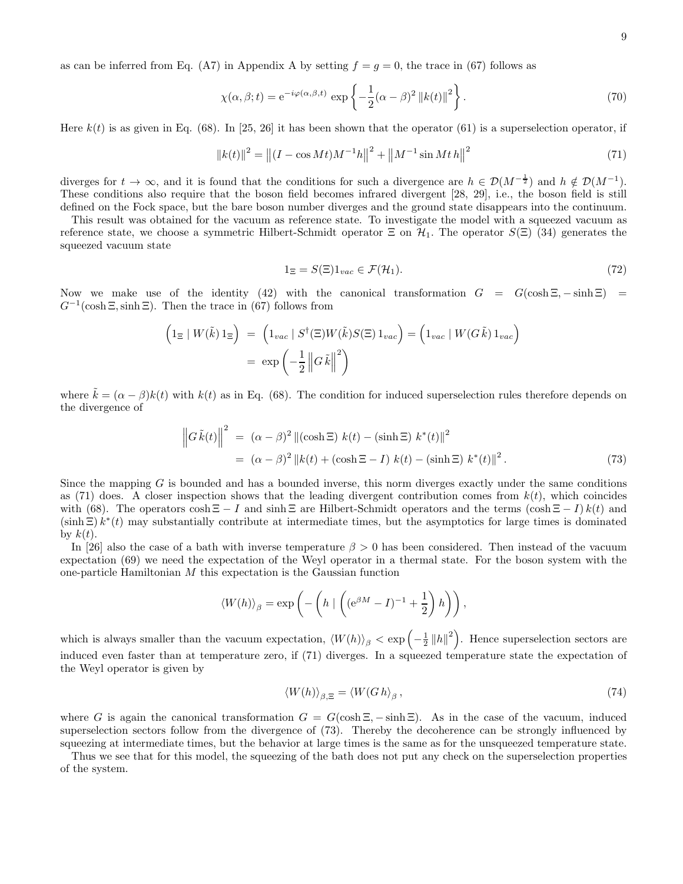as can be inferred from Eq. (A7) in Appendix A by setting  $f = g = 0$ , the trace in (67) follows as

$$
\chi(\alpha,\beta;t) = e^{-i\varphi(\alpha,\beta,t)} \exp\left\{-\frac{1}{2}(\alpha-\beta)^2 \left\|k(t)\right\|^2\right\}.
$$
\n(70)

Here  $k(t)$  is as given in Eq. (68). In [25, 26] it has been shown that the operator (61) is a superselection operator, if

$$
||k(t)||^{2} = ||(I - \cos Mt)M^{-1}h||^{2} + ||M^{-1}\sin Mth||^{2}
$$
\n(71)

diverges for  $t \to \infty$ , and it is found that the conditions for such a divergence are  $h \in \mathcal{D}(M^{-\frac{1}{2}})$  and  $h \notin \mathcal{D}(M^{-1})$ . These conditions also require that the boson field becomes infrared divergent [28, 29], i.e., the boson field is still defined on the Fock space, but the bare boson number diverges and the ground state disappears into the continuum.

This result was obtained for the vacuum as reference state. To investigate the model with a squeezed vacuum as reference state, we choose a symmetric Hilbert-Schmidt operator  $\Xi$  on  $\mathcal{H}_1$ . The operator  $S(\Xi)$  (34) generates the squeezed vacuum state

$$
1_{\Xi} = S(\Xi)1_{vac} \in \mathcal{F}(\mathcal{H}_1). \tag{72}
$$

Now we make use of the identity (42) with the canonical transformation  $G = G(\cosh \Xi, -\sinh \Xi) =$  $G^{-1}(\cosh \Xi, \sinh \Xi)$ . Then the trace in (67) follows from

$$
\left(1_{\Xi} | W(\tilde{k}) 1_{\Xi}\right) = \left(1_{vac} | S^{\dagger}(\Xi) W(\tilde{k}) S(\Xi) 1_{vac}\right) = \left(1_{vac} | W(G\tilde{k}) 1_{vac}\right)
$$

$$
= \exp\left(-\frac{1}{2} \left\|G\tilde{k}\right\|^2\right)
$$

where  $\tilde{k} = (\alpha - \beta)k(t)$  with  $k(t)$  as in Eq. (68). The condition for induced superselection rules therefore depends on the divergence of

$$
\left\|G\tilde{k}(t)\right\|^2 = (\alpha - \beta)^2 \left\|(\cosh \Xi) k(t) - (\sinh \Xi) k^*(t)\right\|^2
$$
  
= 
$$
(\alpha - \beta)^2 \left\|k(t) + (\cosh \Xi - I) k(t) - (\sinh \Xi) k^*(t)\right\|^2.
$$
 (73)

Since the mapping  $G$  is bounded and has a bounded inverse, this norm diverges exactly under the same conditions as (71) does. A closer inspection shows that the leading divergent contribution comes from  $k(t)$ , which coincides with (68). The operators cosh  $\Xi - I$  and sinh  $\Xi$  are Hilbert-Schmidt operators and the terms  $(\cosh \Xi - I) k(t)$  and  $(\sinh \Xi) k^*(t)$  may substantially contribute at intermediate times, but the asymptotics for large times is dominated by  $k(t)$ .

In [26] also the case of a bath with inverse temperature  $\beta > 0$  has been considered. Then instead of the vacuum expectation (69) we need the expectation of the Weyl operator in a thermal state. For the boson system with the one-particle Hamiltonian M this expectation is the Gaussian function

$$
\langle W(h) \rangle_{\beta} = \exp \left( - \left( h \mid \left( (e^{\beta M} - I)^{-1} + \frac{1}{2} \right) h \right) \right),
$$

which is always smaller than the vacuum expectation,  $\langle W(h) \rangle_{\beta} < \exp \left(-\frac{1}{2} ||h||^2\right)$ . Hence superselection sectors are induced even faster than at temperature zero, if (71) diverges. In a squeezed temperature state the expectation of the Weyl operator is given by

$$
\langle W(h) \rangle_{\beta, \Xi} = \langle W(Gh)_{\beta}, \qquad (74)
$$

where G is again the canonical transformation  $G = G(\cosh \Xi, -\sinh \Xi)$ . As in the case of the vacuum, induced superselection sectors follow from the divergence of (73). Thereby the decoherence can be strongly influenced by squeezing at intermediate times, but the behavior at large times is the same as for the unsqueezed temperature state.

Thus we see that for this model, the squeezing of the bath does not put any check on the superselection properties of the system.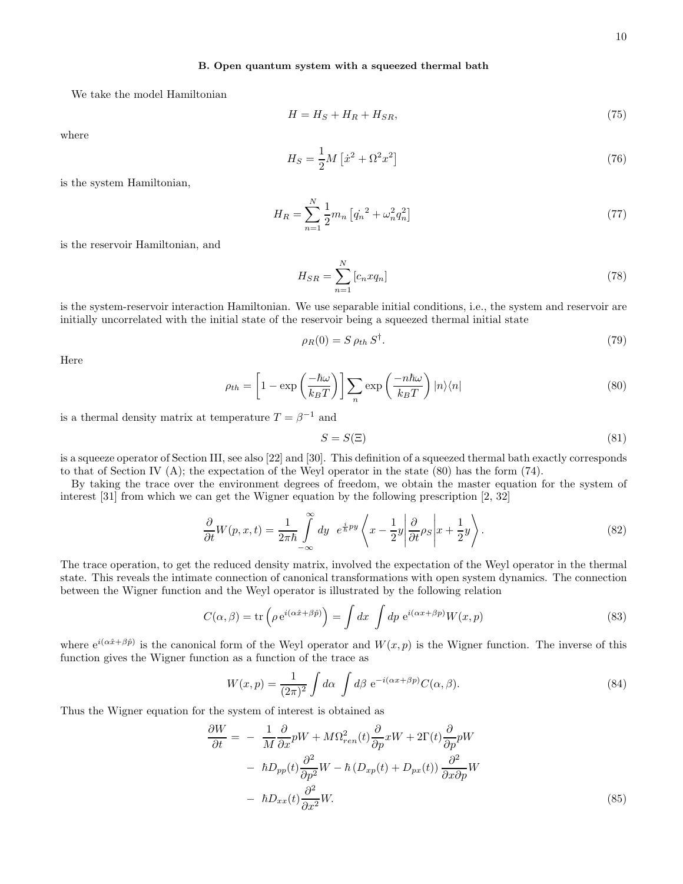# B. Open quantum system with a squeezed thermal bath

We take the model Hamiltonian

$$
H = H_S + H_R + H_{SR},\tag{75}
$$

where

$$
H_S = \frac{1}{2}M\left[\dot{x}^2 + \Omega^2 x^2\right]
$$
\n<sup>(76)</sup>

is the system Hamiltonian,

$$
H_R = \sum_{n=1}^{N} \frac{1}{2} m_n \left[ \dot{q_n}^2 + \omega_n^2 q_n^2 \right] \tag{77}
$$

is the reservoir Hamiltonian, and

$$
H_{SR} = \sum_{n=1}^{N} \left[ c_n x q_n \right] \tag{78}
$$

is the system-reservoir interaction Hamiltonian. We use separable initial conditions, i.e., the system and reservoir are initially uncorrelated with the initial state of the reservoir being a squeezed thermal initial state

$$
\rho_R(0) = S \rho_{th} S^{\dagger}.
$$
\n<sup>(79)</sup>

Here

$$
\rho_{th} = \left[1 - \exp\left(\frac{-\hbar\omega}{k_B T}\right)\right] \sum_{n} \exp\left(\frac{-n\hbar\omega}{k_B T}\right) |n\rangle\langle n| \tag{80}
$$

is a thermal density matrix at temperature  $T = \beta^{-1}$  and

$$
S = S(\Xi) \tag{81}
$$

is a squeeze operator of Section III, see also [22] and [30]. This definition of a squeezed thermal bath exactly corresponds to that of Section IV (A); the expectation of the Weyl operator in the state (80) has the form (74).

By taking the trace over the environment degrees of freedom, we obtain the master equation for the system of interest [31] from which we can get the Wigner equation by the following prescription [2, 32]

$$
\frac{\partial}{\partial t}W(p,x,t) = \frac{1}{2\pi\hbar} \int_{-\infty}^{\infty} dy \ e^{\frac{i}{\hbar}py} \left\langle x - \frac{1}{2}y \middle| \frac{\partial}{\partial t} \rho_S \middle| x + \frac{1}{2}y \right\rangle.
$$
 (82)

The trace operation, to get the reduced density matrix, involved the expectation of the Weyl operator in the thermal state. This reveals the intimate connection of canonical transformations with open system dynamics. The connection between the Wigner function and the Weyl operator is illustrated by the following relation

$$
C(\alpha, \beta) = \text{tr}\left(\rho \, \mathrm{e}^{i(\alpha \hat{x} + \beta \hat{p})}\right) = \int dx \, \int dp \, \mathrm{e}^{i(\alpha x + \beta p)} W(x, p) \tag{83}
$$

where  $e^{i(\alpha \hat{x} + \beta \hat{p})}$  is the canonical form of the Weyl operator and  $W(x, p)$  is the Wigner function. The inverse of this function gives the Wigner function as a function of the trace as

$$
W(x,p) = \frac{1}{(2\pi)^2} \int d\alpha \int d\beta \ e^{-i(\alpha x + \beta p)} C(\alpha, \beta).
$$
 (84)

Thus the Wigner equation for the system of interest is obtained as

$$
\frac{\partial W}{\partial t} = -\frac{1}{M} \frac{\partial}{\partial x} pW + M\Omega_{ren}^2(t) \frac{\partial}{\partial p} xW + 2\Gamma(t) \frac{\partial}{\partial p} pW \n- \hbar D_{pp}(t) \frac{\partial^2}{\partial p^2} W - \hbar (D_{xp}(t) + D_{px}(t)) \frac{\partial^2}{\partial x \partial p} W \n- \hbar D_{xx}(t) \frac{\partial^2}{\partial x^2} W.
$$
\n(85)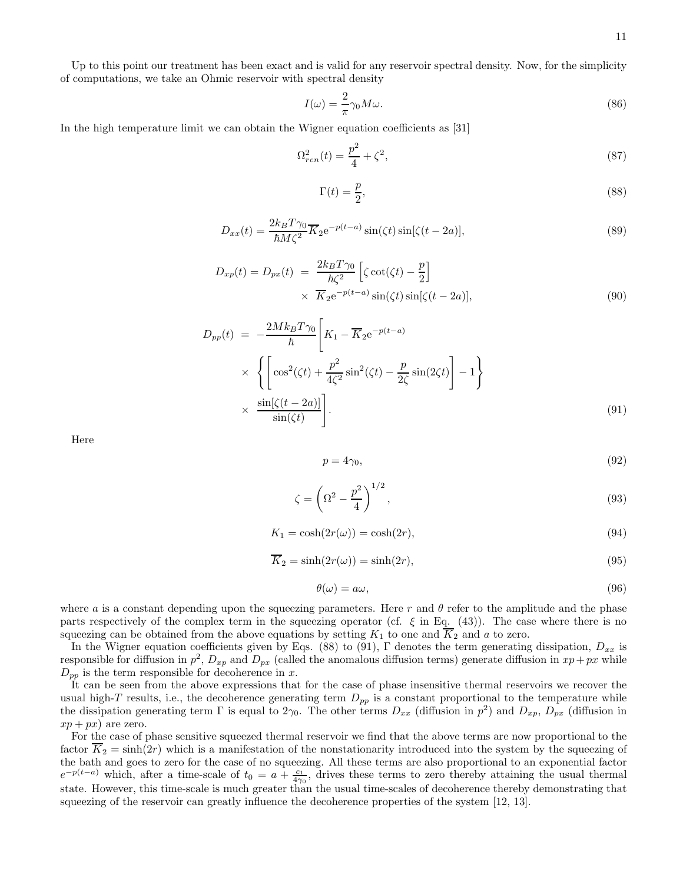Up to this point our treatment has been exact and is valid for any reservoir spectral density. Now, for the simplicity of computations, we take an Ohmic reservoir with spectral density

$$
I(\omega) = \frac{2}{\pi} \gamma_0 M \omega.
$$
\n(86)

In the high temperature limit we can obtain the Wigner equation coefficients as [31]

$$
\Omega_{ren}^2(t) = \frac{p^2}{4} + \zeta^2,\tag{87}
$$

$$
\Gamma(t) = \frac{p}{2},\tag{88}
$$

$$
D_{xx}(t) = \frac{2k_B T \gamma_0}{\hbar M \zeta^2} \overline{K}_2 e^{-p(t-a)} \sin(\zeta t) \sin[\zeta(t-2a)],\tag{89}
$$

$$
D_{xp}(t) = D_{px}(t) = \frac{2k_B T \gamma_0}{\hbar \zeta^2} \left[ \zeta \cot(\zeta t) - \frac{p}{2} \right]
$$
  
 
$$
\times \overline{K}_2 e^{-p(t-a)} \sin(\zeta t) \sin[\zeta(t-2a)], \qquad (90)
$$

$$
D_{pp}(t) = -\frac{2Mk_BT\gamma_0}{\hbar} \left[ K_1 - \overline{K}_2 e^{-p(t-a)} \times \left\{ \left[ \cos^2(\zeta t) + \frac{p^2}{4\zeta^2} \sin^2(\zeta t) - \frac{p}{2\zeta} \sin(2\zeta t) \right] - 1 \right\} \times \frac{\sin[\zeta(t-2a)]}{\sin(\zeta t)} \right].
$$
\n(91)

Here

$$
p = 4\gamma_0,\tag{92}
$$

$$
\zeta = \left(\Omega^2 - \frac{p^2}{4}\right)^{1/2},\tag{93}
$$

$$
K_1 = \cosh(2r(\omega)) = \cosh(2r),\tag{94}
$$

$$
\overline{K}_2 = \sinh(2r(\omega)) = \sinh(2r),\tag{95}
$$

$$
\theta(\omega) = a\omega,\tag{96}
$$

where a is a constant depending upon the squeezing parameters. Here r and  $\theta$  refer to the amplitude and the phase parts respectively of the complex term in the squeezing operator (cf.  $\xi$  in Eq. (43)). The case where there is no squeezing can be obtained from the above equations by setting  $K_1$  to one and  $\overline{K}_2$  and a to zero.

In the Wigner equation coefficients given by Eqs. (88) to (91), Γ denotes the term generating dissipation,  $D_{xx}$  is responsible for diffusion in  $p^2$ ,  $D_{xp}$  and  $D_{px}$  (called the anomalous diffusion terms) generate diffusion in  $xp+px$  while  $D_{pp}$  is the term responsible for decoherence in x.

It can be seen from the above expressions that for the case of phase insensitive thermal reservoirs we recover the usual high-T results, i.e., the decoherence generating term  $D_{pp}$  is a constant proportional to the temperature while the dissipation generating term  $\Gamma$  is equal to  $2\gamma_0$ . The other terms  $D_{xx}$  (diffusion in  $p^2$ ) and  $D_{xp}$ ,  $D_{px}$  (diffusion in  $xp+px$  are zero.

For the case of phase sensitive squeezed thermal reservoir we find that the above terms are now proportional to the factor  $\overline{K}_2 = \sinh(2r)$  which is a manifestation of the nonstationarity introduced into the system by the squeezing of the bath and goes to zero for the case of no squeezing. All these terms are also proportional to an exponential factor  $e^{-p(t-a)}$  which, after a time-scale of  $t_0 = a + \frac{c_1}{4\gamma_0}$ , drives these terms to zero thereby attaining the usual thermal state. However, this time-scale is much greater than the usual time-scales of decoherence thereby demonstrating that squeezing of the reservoir can greatly influence the decoherence properties of the system [12, 13].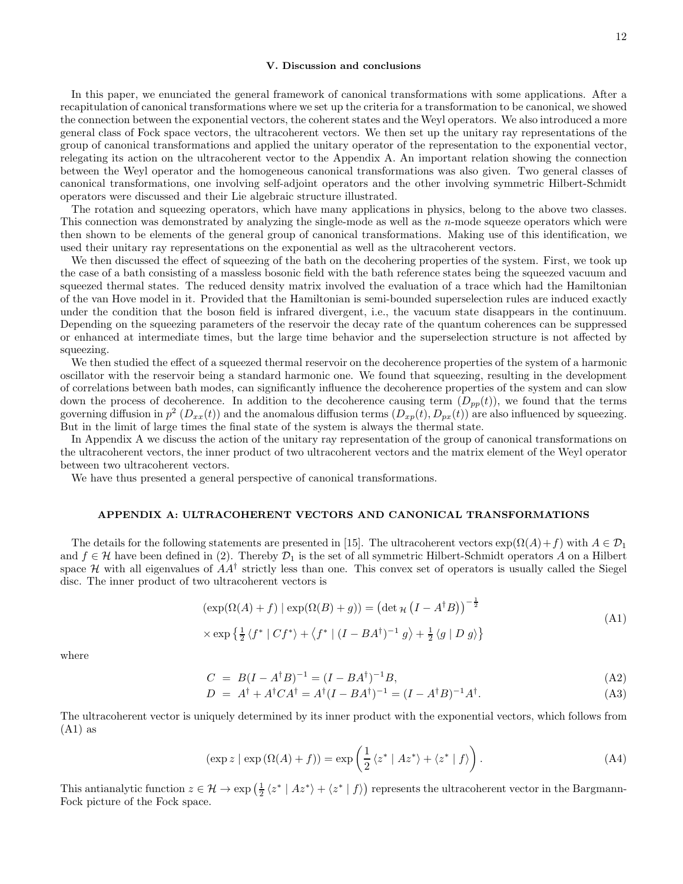## V. Discussion and conclusions

In this paper, we enunciated the general framework of canonical transformations with some applications. After a recapitulation of canonical transformations where we set up the criteria for a transformation to be canonical, we showed the connection between the exponential vectors, the coherent states and the Weyl operators. We also introduced a more general class of Fock space vectors, the ultracoherent vectors. We then set up the unitary ray representations of the group of canonical transformations and applied the unitary operator of the representation to the exponential vector, relegating its action on the ultracoherent vector to the Appendix A. An important relation showing the connection between the Weyl operator and the homogeneous canonical transformations was also given. Two general classes of canonical transformations, one involving self-adjoint operators and the other involving symmetric Hilbert-Schmidt operators were discussed and their Lie algebraic structure illustrated.

The rotation and squeezing operators, which have many applications in physics, belong to the above two classes. This connection was demonstrated by analyzing the single-mode as well as the  $n$ -mode squeeze operators which were then shown to be elements of the general group of canonical transformations. Making use of this identification, we used their unitary ray representations on the exponential as well as the ultracoherent vectors.

We then discussed the effect of squeezing of the bath on the decohering properties of the system. First, we took up the case of a bath consisting of a massless bosonic field with the bath reference states being the squeezed vacuum and squeezed thermal states. The reduced density matrix involved the evaluation of a trace which had the Hamiltonian of the van Hove model in it. Provided that the Hamiltonian is semi-bounded superselection rules are induced exactly under the condition that the boson field is infrared divergent, i.e., the vacuum state disappears in the continuum. Depending on the squeezing parameters of the reservoir the decay rate of the quantum coherences can be suppressed or enhanced at intermediate times, but the large time behavior and the superselection structure is not affected by squeezing.

We then studied the effect of a squeezed thermal reservoir on the decoherence properties of the system of a harmonic oscillator with the reservoir being a standard harmonic one. We found that squeezing, resulting in the development of correlations between bath modes, can significantly influence the decoherence properties of the system and can slow down the process of decoherence. In addition to the decoherence causing term  $(D_{pp}(t))$ , we found that the terms governing diffusion in  $p^2(D_{xx}(t))$  and the anomalous diffusion terms  $(D_{xp}(t), D_{px}(t))$  are also influenced by squeezing. But in the limit of large times the final state of the system is always the thermal state.

In Appendix A we discuss the action of the unitary ray representation of the group of canonical transformations on the ultracoherent vectors, the inner product of two ultracoherent vectors and the matrix element of the Weyl operator between two ultracoherent vectors.

We have thus presented a general perspective of canonical transformations.

## APPENDIX A: ULTRACOHERENT VECTORS AND CANONICAL TRANSFORMATIONS

The details for the following statements are presented in [15]. The ultracoherent vectors  $\exp(\Omega(A)+f)$  with  $A \in \mathcal{D}_1$ and  $f \in \mathcal{H}$  have been defined in (2). Thereby  $\mathcal{D}_1$  is the set of all symmetric Hilbert-Schmidt operators A on a Hilbert space  $\mathcal H$  with all eigenvalues of  $AA^{\dagger}$  strictly less than one. This convex set of operators is usually called the Siegel disc. The inner product of two ultracoherent vectors is

$$
(\exp(\Omega(A) + f) | \exp(\Omega(B) + g)) = (\det_{\mathcal{H}} (I - A^{\dagger} B))^{-\frac{1}{2}}
$$
  
 
$$
\times \exp\left\{\frac{1}{2} \langle f^* | C f^* \rangle + \langle f^* | (I - BA^{\dagger})^{-1} g \rangle + \frac{1}{2} \langle g | D g \rangle \right\}
$$
 (A1)

where

$$
C = B(I - A^{\dagger}B)^{-1} = (I - BA^{\dagger})^{-1}B,
$$
\n(A2)

$$
D = A^{\dagger} + A^{\dagger}CA^{\dagger} = A^{\dagger}(I - BA^{\dagger})^{-1} = (I - A^{\dagger}B)^{-1}A^{\dagger}.
$$
 (A3)

The ultracoherent vector is uniquely determined by its inner product with the exponential vectors, which follows from  $(A1)$  as

$$
(\exp z \mid \exp(\Omega(A) + f)) = \exp\left(\frac{1}{2} \langle z^* \mid Az^* \rangle + \langle z^* \mid f \rangle\right). \tag{A4}
$$

This antianalytic function  $z \in \mathcal{H} \to \exp\left(\frac{1}{2} \langle z^* | Az^* \rangle + \langle z^* | f \rangle\right)$  represents the ultracoherent vector in the Bargmann-Fock picture of the Fock space.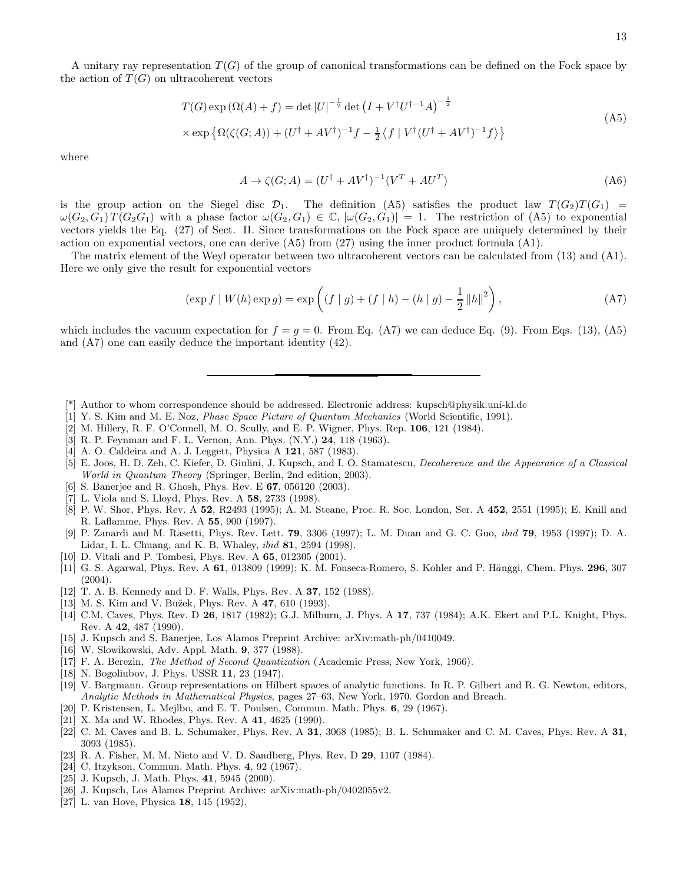A unitary ray representation  $T(G)$  of the group of canonical transformations can be defined on the Fock space by the action of  $T(G)$  on ultracoherent vectors

$$
T(G) \exp\left(\Omega(A) + f\right) = \det |U|^{-\frac{1}{2}} \det \left(I + V^{\dagger} U^{\dagger - 1} A\right)^{-\frac{1}{2}}
$$
  
 
$$
\times \exp \left\{\Omega(\zeta(G; A)) + (U^{\dagger} + A V^{\dagger})^{-1} f - \frac{1}{2} \left\langle f \mid V^{\dagger} (U^{\dagger} + A V^{\dagger})^{-1} f \right\rangle\right\}
$$
(A5)

where

$$
A \to \zeta(G; A) = (U^{\dagger} + AV^{\dagger})^{-1}(V^T + AU^T)
$$
\n(A6)

is the group action on the Siegel disc  $\mathcal{D}_1$ . The definition (A5) satisfies the product law  $T(G_2)T(G_1)$  =  $\omega(G_2, G_1) T(G_2G_1)$  with a phase factor  $\omega(G_2, G_1) \in \mathbb{C}$ ,  $|\omega(G_2, G_1)| = 1$ . The restriction of (A5) to exponential vectors yields the Eq. (27) of Sect. II. Since transformations on the Fock space are uniquely determined by their action on exponential vectors, one can derive  $(A5)$  from  $(27)$  using the inner product formula  $(A1)$ .

The matrix element of the Weyl operator between two ultracoherent vectors can be calculated from (13) and (A1). Here we only give the result for exponential vectors

$$
(\exp f \mid W(h) \exp g) = \exp \left( (f \mid g) + (f \mid h) - (h \mid g) - \frac{1}{2} ||h||^2 \right),
$$
\n(A7)

which includes the vacuum expectation for  $f = g = 0$ . From Eq. (A7) we can deduce Eq. (9). From Eqs. (13), (A5) and (A7) one can easily deduce the important identity (42).

- [\*] Author to whom correspondence should be addressed. Electronic address: kupsch@physik.uni-kl.de
- [1] Y. S. Kim and M. E. Noz, Phase Space Picture of Quantum Mechanics (World Scientific, 1991).
- [2] M. Hillery, R. F. O'Connell, M. O. Scully, and E. P. Wigner, Phys. Rep. 106, 121 (1984).
- [3] R. P. Feynman and F. L. Vernon, Ann. Phys. (N.Y.) 24, 118 (1963).
- [4] A. O. Caldeira and A. J. Leggett, Physica A 121, 587 (1983).
- [5] E. Joos, H. D. Zeh, C. Kiefer, D. Giulini, J. Kupsch, and I. O. Stamatescu, Decoherence and the Appearance of a Classical World in Quantum Theory (Springer, Berlin, 2nd edition, 2003).
- [6] S. Banerjee and R. Ghosh, Phys. Rev. E 67, 056120 (2003).
- [7] L. Viola and S. Lloyd, Phys. Rev. A 58, 2733 (1998).
- [8] P. W. Shor, Phys. Rev. A 52, R2493 (1995); A. M. Steane, Proc. R. Soc. London, Ser. A 452, 2551 (1995); E. Knill and R. Laflamme, Phys. Rev. A 55, 900 (1997).
- [9] P. Zanardi and M. Rasetti, Phys. Rev. Lett. 79, 3306 (1997); L. M. Duan and G. C. Guo, ibid 79, 1953 (1997); D. A. Lidar, I. L. Chuang, and K. B. Whaley, ibid 81, 2594 (1998).
- [10] D. Vitali and P. Tombesi, Phys. Rev. A 65, 012305 (2001).
- [11] G. S. Agarwal, Phys. Rev. A 61, 013809 (1999); K. M. Fonseca-Romero, S. Kohler and P. Hänggi, Chem. Phys. 296, 307  $(2004).$
- [12] T. A. B. Kennedy and D. F. Walls, Phys. Rev. A 37, 152 (1988).
- [13] M. S. Kim and V. Bužek, Phys. Rev. A 47, 610 (1993).
- [14] C.M. Caves, Phys. Rev. D 26, 1817 (1982); G.J. Milburn, J. Phys. A 17, 737 (1984); A.K. Ekert and P.L. Knight, Phys. Rev. A 42, 487 (1990).
- [15] J. Kupsch and S. Banerjee, Los Alamos Preprint Archive: arXiv:math-ph/0410049.
- [16] W. Slowikowski, Adv. Appl. Math. 9, 377 (1988).
- [17] F. A. Berezin, *The Method of Second Quantization* (Academic Press, New York, 1966).
- [18] N. Bogoliubov, J. Phys. USSR 11, 23 (1947).
- [19] V. Bargmann. Group representations on Hilbert spaces of analytic functions. In R. P. Gilbert and R. G. Newton, editors, Analytic Methods in Mathematical Physics, pages 27–63, New York, 1970. Gordon and Breach.
- [20] P. Kristensen, L. Mejlbo, and E. T. Poulsen, Commun. Math. Phys. 6, 29 (1967).
- [21] X. Ma and W. Rhodes, Phys. Rev. A 41, 4625 (1990).
- [22] C. M. Caves and B. L. Schumaker, Phys. Rev. A 31, 3068 (1985); B. L. Schumaker and C. M. Caves, Phys. Rev. A 31, 3093 (1985).
- [23] R. A. Fisher, M. M. Nieto and V. D. Sandberg, Phys. Rev. D 29, 1107 (1984).
- [24] C. Itzykson, Commun. Math. Phys. 4, 92 (1967).
- [25] J. Kupsch, J. Math. Phys. 41, 5945 (2000).
- [26] J. Kupsch, Los Alamos Preprint Archive: arXiv:math-ph/0402055v2.
- [27] L. van Hove, Physica 18, 145 (1952).